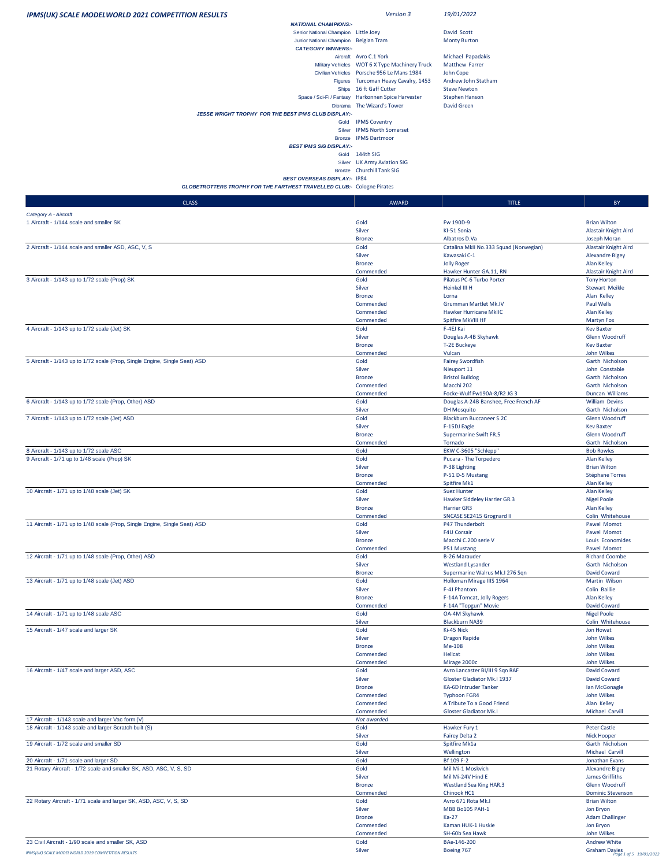| <b>IPMS(UK) SCALE MODELWORLD 2021 COMPETITION RESULTS</b>                                                     | Version 3                                                                          | 19/01/2022                                                   |                                                 |
|---------------------------------------------------------------------------------------------------------------|------------------------------------------------------------------------------------|--------------------------------------------------------------|-------------------------------------------------|
| <b>NATIONAL CHAMPIONS:-</b><br>Senior National Champion Little Joey                                           |                                                                                    | David Scott                                                  |                                                 |
| Junior National Champion Belgian Tram                                                                         |                                                                                    | <b>Monty Burton</b>                                          |                                                 |
| <b>CATEGORY WINNERS:-</b>                                                                                     | Aircraft Avro C.1 York                                                             | Michael Papadakis                                            |                                                 |
|                                                                                                               | Military Vehicles WOT 6 X Type Machinery Truck                                     | Matthew Farrer                                               |                                                 |
|                                                                                                               | Civilian Vehicles Porsche 956 Le Mans 1984<br>Figures Turcoman Heavy Cavalry, 1453 | John Cope<br>Andrew John Statham                             |                                                 |
|                                                                                                               | Ships 16 ft Gaff Cutter                                                            | <b>Steve Newton</b>                                          |                                                 |
|                                                                                                               | Space / Sci-Fi / Fantasy Harkonnen Spice Harvester                                 | <b>Stephen Hanson</b>                                        |                                                 |
| Diorama<br>JESSE WRIGHT TROPHY FOR THE BEST IPMS CLUB DISPLAY:-                                               | The Wizard's Tower                                                                 | David Green                                                  |                                                 |
|                                                                                                               | Gold IPMS Coventry                                                                 |                                                              |                                                 |
| Silver<br><b>Bronze</b>                                                                                       | <b>IPMS North Somerset</b><br><b>IPMS Dartmoor</b>                                 |                                                              |                                                 |
| <b>BEST IPMS SIG DISPLAY:-</b>                                                                                |                                                                                    |                                                              |                                                 |
|                                                                                                               | Gold 144th SIG<br>Silver UK Army Aviation SIG                                      |                                                              |                                                 |
|                                                                                                               | Bronze Churchill Tank SIG                                                          |                                                              |                                                 |
| <b>BEST OVERSEAS DISPLAY:- IP84</b><br>GLOBETROTTERS TROPHY FOR THE FARTHEST TRAVELLED CLUB:- Cologne Pirates |                                                                                    |                                                              |                                                 |
|                                                                                                               |                                                                                    |                                                              |                                                 |
| <b>CLASS</b>                                                                                                  | AWARD                                                                              | <b>TITLE</b>                                                 | BY                                              |
| Category A - Aircraft<br>1 Aircraft - 1/144 scale and smaller SK                                              | Gold                                                                               | Fw 190D-9                                                    | <b>Brian Wilton</b>                             |
|                                                                                                               | Silver                                                                             | KI-51 Sonia                                                  | Alastair Knight Aird                            |
| 2 Aircraft - 1/144 scale and smaller ASD, ASC, V, S                                                           | <b>Bronze</b><br>Gold                                                              | Albatros D.Va<br>Catalina MkII No.333 Squad (Norwegian)      | Joseph Moran<br>Alastair Knight Aird            |
|                                                                                                               | Silver                                                                             | Kawasaki C-1                                                 | <b>Alexandre Bigey</b>                          |
|                                                                                                               | <b>Bronze</b>                                                                      | <b>Jolly Roger</b>                                           | Alan Kelley                                     |
| 3 Aircraft - 1/143 up to 1/72 scale (Prop) SK                                                                 | Commended<br>Gold                                                                  | Hawker Hunter GA.11, RN<br>Pilatus PC-6 Turbo Porter         | Alastair Knight Aird<br><b>Tony Horton</b>      |
|                                                                                                               | Silver                                                                             | Heinkel III H                                                | <b>Stewart Meikle</b>                           |
|                                                                                                               | <b>Bronze</b><br>Commended                                                         | Lorna<br>Grumman Martlet Mk.IV                               | Alan Kelley<br>Paul Wells                       |
|                                                                                                               | Commended                                                                          | <b>Hawker Hurricane MkIIC</b>                                | <b>Alan Kelley</b>                              |
|                                                                                                               | Commended                                                                          | Spitfire MkVIII HF                                           | <b>Martyn Fox</b>                               |
| 4 Aircraft - 1/143 up to 1/72 scale (Jet) SK                                                                  | Gold<br>Silver                                                                     | F-4EJ Kai<br>Douglas A-4B Skyhawk                            | <b>Kev Baxter</b><br>Glenn Woodruff             |
|                                                                                                               | <b>Bronze</b>                                                                      | <b>T-2E Buckeye</b>                                          | <b>Kev Baxter</b>                               |
| 5 Aircraft - 1/143 up to 1/72 scale (Prop, Single Engine, Single Seat) ASD                                    | Commended<br>Gold                                                                  | Vulcan<br><b>Fairey Swordfish</b>                            | John Wilkes<br>Garth Nicholson                  |
|                                                                                                               | Silver                                                                             | Nieuport 11                                                  | John Constable                                  |
|                                                                                                               | <b>Bronze</b><br>Commended                                                         | <b>Bristol Bulldog</b><br>Macchi 202                         | Garth Nicholson<br>Garth Nicholson              |
|                                                                                                               | Commended                                                                          | Focke-Wulf Fw190A-8/R2 JG 3                                  | Duncan Williams                                 |
| 6 Aircraft - 1/143 up to 1/72 scale (Prop, Other) ASD                                                         | Gold                                                                               | Douglas A-24B Banshee, Free French AF                        | <b>William Devins</b>                           |
| 7 Aircraft - 1/143 up to 1/72 scale (Jet) ASD                                                                 | Silver<br>Gold                                                                     | <b>DH Mosquito</b><br><b>Blackburn Buccaneer S.2C</b>        | Garth Nicholson<br>Glenn Woodruff               |
|                                                                                                               | Silver                                                                             | F-15DJ Eagle                                                 | <b>Kev Baxter</b>                               |
|                                                                                                               | <b>Bronze</b><br>Commended                                                         | <b>Supermarine Swift FR.5</b><br>Tornado                     | Glenn Woodruff<br>Garth Nicholson               |
| 8 Aircraft - 1/143 up to 1/72 scale ASC                                                                       | Gold                                                                               | EKW C-3605 "Schlepp"                                         | <b>Bob Rowles</b>                               |
| 9 Aircraft - 1/71 up to 1/48 scale (Prop) SK                                                                  | Gold                                                                               | Pucara - The Torpedero                                       | Alan Kelley                                     |
|                                                                                                               | Silver<br><b>Bronze</b>                                                            | P-38 Lighting<br>P-51 D-5 Mustang                            | <b>Brian Wilton</b><br>Stéphane Torres          |
|                                                                                                               | Commended                                                                          | Spitfire Mk1                                                 | Alan Kelley                                     |
| 10 Aircraft - 1/71 up to 1/48 scale (Jet) SK                                                                  | Gold<br>Silver                                                                     | Suez Hunter<br>Hawker Siddeley Harrier GR.3                  | <b>Alan Kelley</b><br><b>Nigel Poole</b>        |
|                                                                                                               | <b>Bronze</b>                                                                      | Harrier GR3                                                  | <b>Alan Kelley</b>                              |
| 11 Aircraft - 1/71 up to 1/48 scale (Prop, Single Engine, Single Seat) ASD                                    | Commended<br>Gold                                                                  | SNCASE SE2415 Grognard II<br>P47 Thunderbolt                 | Colin Whitehouse<br>Pawel Momot                 |
|                                                                                                               | Silver                                                                             | <b>F4U Corsair</b>                                           | Pawel Momot                                     |
|                                                                                                               | <b>Bronze</b>                                                                      | Macchi C.200 serie V<br>P51 Mustang                          | Louis Economides<br>Pawel Momot                 |
| 12 Aircraft - 1/71 up to 1/48 scale (Prop, Other) ASD                                                         | Commended<br>Gold                                                                  | <b>B-26 Marauder</b>                                         | <b>Richard Coombe</b>                           |
|                                                                                                               | Silver                                                                             | <b>Westland Lysander</b>                                     | Garth Nicholson                                 |
| 13 Aircraft - 1/71 up to 1/48 scale (Jet) ASD                                                                 | <b>Bronze</b><br>Gold                                                              | Supermarine Walrus Mk.I 276 Sqn<br>Holloman Mirage IIIS 1964 | David Coward<br>Martin Wilson                   |
|                                                                                                               | Silver                                                                             | F-4J Phantom                                                 | Colin Baillie                                   |
|                                                                                                               | <b>Bronze</b><br>Commended                                                         | F-14A Tomcat, Jolly Rogers<br>F-14A "Topgun" Movie           | Alan Kelley<br>David Coward                     |
| 14 Aircraft - 1/71 up to 1/48 scale ASC                                                                       | Gold                                                                               | OA-4M Skyhawk                                                | <b>Nigel Poole</b>                              |
|                                                                                                               | Silver                                                                             | <b>Blackburn NA39</b>                                        | Colin Whitehouse                                |
| 15 Aircraft - 1/47 scale and larger SK                                                                        | Gold<br>Silver                                                                     | Ki-45 Nick<br><b>Dragon Rapide</b>                           | Jon Howat<br>John Wilkes                        |
|                                                                                                               | <b>Bronze</b>                                                                      | Me-108                                                       | John Wilkes                                     |
|                                                                                                               | Commended<br>Commended                                                             | Hellcat<br>Mirage 2000c                                      | John Wilkes<br>John Wilkes                      |
| 16 Aircraft - 1/47 scale and larger ASD, ASC                                                                  | Gold                                                                               | Avro Lancaster BI/III 9 Sqn RAF                              | David Coward                                    |
|                                                                                                               | Silver                                                                             | Gloster Gladiator Mk.I 1937                                  | David Coward                                    |
|                                                                                                               | <b>Bronze</b><br>Commended                                                         | KA-6D Intruder Tanker<br><b>Typhoon FGR4</b>                 | Ian McGonagle<br>John Wilkes                    |
|                                                                                                               | Commended                                                                          | A Tribute To a Good Friend                                   | Alan Kelley                                     |
| 17 Aircraft - 1/143 scale and larger Vac form (V)                                                             | Commended<br>Not awarded                                                           | <b>Gloster Gladiator Mk.I</b>                                | Michael Carvill                                 |
| 18 Aircraft - 1/143 scale and larger Scratch built (S)                                                        | Gold                                                                               | Hawker Fury 1                                                | <b>Peter Castle</b>                             |
|                                                                                                               | Silver                                                                             | Fairey Delta 2                                               | <b>Nick Hooper</b>                              |
| 19 Aircraft - 1/72 scale and smaller SD                                                                       | Gold<br>Silver                                                                     | Spitfire Mk1a<br>Wellington                                  | Garth Nicholson<br>Michael Carvill              |
| 20 Aircraft - 1/71 scale and larger SD                                                                        | Gold                                                                               | Bf 109 F-2                                                   | Jonathan Evans                                  |
| 21 Rotary Aircraft - 1/72 scale and smaller SK, ASD, ASC, V, S, SD                                            | Gold<br>Silver                                                                     | Mil Mi-1 Moskvich<br>Mil Mi-24V Hind E                       | <b>Alexandre Bigey</b><br>James Griffiths       |
|                                                                                                               | <b>Bronze</b>                                                                      | Westland Sea King HAR.3                                      | Glenn Woodruff                                  |
| 22 Rotary Aircraft - 1/71 scale and larger SK, ASD, ASC, V, S, SD                                             | Commended<br>Gold                                                                  | Chinook HC1<br>Avro 671 Rota Mk.I                            | <b>Dominic Stevenson</b><br><b>Brian Wilton</b> |
|                                                                                                               | Silver                                                                             | MBB Bo105 PAH-1                                              | Jon Bryon                                       |
|                                                                                                               | <b>Bronze</b>                                                                      | Ka-27                                                        | <b>Adam Challinger</b>                          |
|                                                                                                               | Commended<br>Commended                                                             | Kaman HUK-1 Huskie<br>SH-60b Sea Hawk                        | Jon Bryon<br>John Wilkes                        |
| 23 Civil Aircraft - 1/90 scale and smaller SK, ASD                                                            | Gold                                                                               | BAe-146-200                                                  | <b>Andrew White</b>                             |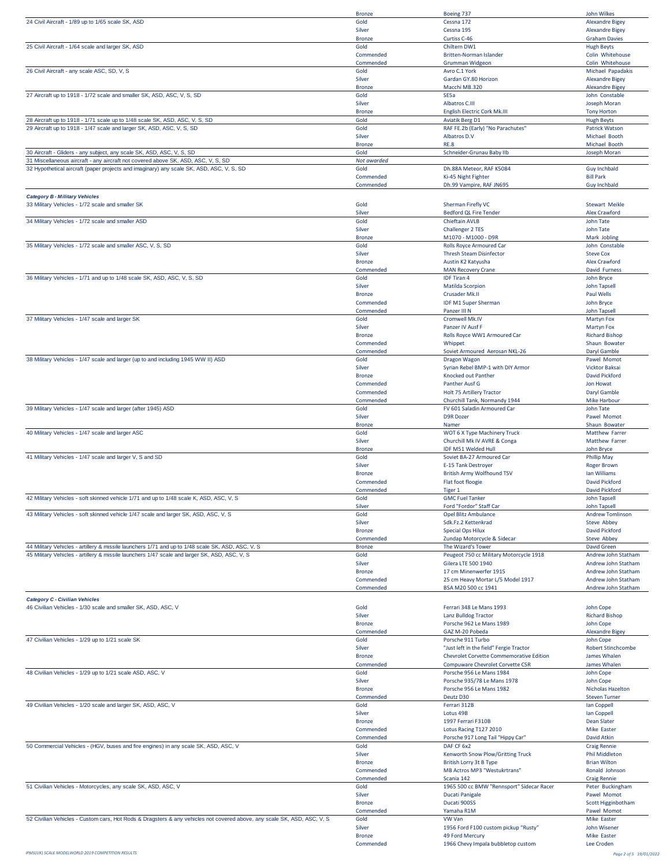|                                                                                                                         | <b>Bronze</b>              | Boeing 737                                                   | John Wilkes                                    |
|-------------------------------------------------------------------------------------------------------------------------|----------------------------|--------------------------------------------------------------|------------------------------------------------|
| 24 Civil Aircraft - 1/89 up to 1/65 scale SK, ASD                                                                       | Gold                       | Cessna 172                                                   | <b>Alexandre Bigey</b>                         |
|                                                                                                                         | Silver                     | Cessna 195                                                   | <b>Alexandre Bigey</b>                         |
| 25 Civil Aircraft - 1/64 scale and larger SK, ASD                                                                       | <b>Bronze</b><br>Gold      | Curtiss C-46<br>Chiltern DW1                                 | <b>Graham Davies</b><br><b>Hugh Beyts</b>      |
|                                                                                                                         | Commended                  | Britten-Norman Islander                                      | Colin Whitehouse                               |
|                                                                                                                         | Commended                  | Grumman Widgeon                                              | Colin Whitehouse                               |
| 26 Civil Aircraft - any scale ASC, SD, V, S                                                                             | Gold                       | Avro C.1 York                                                | Michael Papadakis                              |
|                                                                                                                         | Silver                     | Gardan GY.80 Horizon                                         | <b>Alexandre Bigey</b>                         |
| 27 Aircraft up to 1918 - 1/72 scale and smaller SK, ASD, ASC, V, S, SD                                                  | <b>Bronze</b><br>Gold      | Macchi MB.320<br>SE5a                                        | <b>Alexandre Bigey</b><br>John Constable       |
|                                                                                                                         | Silver                     | Albatros C.III                                               | Joseph Moran                                   |
|                                                                                                                         | <b>Bronze</b>              | English Electric Cork Mk.III                                 | <b>Tony Horton</b>                             |
| 28 Aircraft up to 1918 - 1/71 scale up to 1/48 scale SK, ASD, ASC, V, S, SD                                             | Gold                       | Aviatik Berg D1                                              | <b>Hugh Beyts</b>                              |
| 29 Aircraft up to 1918 - 1/47 scale and larger SK, ASD, ASC, V, S, SD                                                   | Gold                       | RAF FE.2b (Early) "No Parachutes'                            | <b>Patrick Watson</b>                          |
|                                                                                                                         | Silver                     | Albatros D.V                                                 | Michael Booth<br>Michael Booth                 |
| 30 Aircraft - Gliders - any subject, any scale SK, ASD, ASC, V, S, SD                                                   | <b>Bronze</b><br>Gold      | <b>RE.8</b><br>Schneider-Grunau Baby IIb                     | Joseph Moran                                   |
| 31 Miscellaneous aircraft - any aircraft not covered above SK, ASD, ASC, V, S, SD                                       | Not awarded                |                                                              |                                                |
| 32 Hypothetical aircraft (paper projects and imaginary) any scale SK, ASD, ASC, V, S, SD                                | Gold                       | Dh.88A Meteor, RAF K5084                                     | Guy Inchbald                                   |
|                                                                                                                         | Commended                  | Ki-45 Night Fighter                                          | <b>Bill Park</b>                               |
|                                                                                                                         | Commended                  | Dh.99 Vampire, RAF JN695                                     | <b>Guy Inchbald</b>                            |
| <b>Category B - Military Vehicles</b>                                                                                   |                            |                                                              |                                                |
| 33 Military Vehicles - 1/72 scale and smaller SK                                                                        | Gold                       | <b>Sherman Firefly VC</b>                                    | Stewart Meikle                                 |
|                                                                                                                         | Silver                     | <b>Bedford QL Fire Tender</b>                                | Alex Crawford                                  |
| 34 Military Vehicles - 1/72 scale and smaller ASD                                                                       | Gold<br>Silver             | <b>Chieftain AVLB</b><br><b>Challenger 2 TES</b>             | John Tate<br>John Tate                         |
|                                                                                                                         | <b>Bronze</b>              | M1070 - M1000 - D9R                                          | Mark Jobling                                   |
| 35 Military Vehicles - 1/72 scale and smaller ASC, V, S, SD                                                             | Gold                       | <b>Rolls Royce Armoured Car</b>                              | John Constable                                 |
|                                                                                                                         | Silver                     | <b>Thresh Steam Disinfector</b>                              | <b>Steve Cox</b>                               |
|                                                                                                                         | <b>Bronze</b>              | Austin K2 Katyusha                                           | Alex Crawford                                  |
|                                                                                                                         | Commended                  | <b>MAN Recovery Crane</b>                                    | David Furness                                  |
| 36 Military Vehicles - 1/71 and up to 1/48 scale SK, ASD, ASC, V, S, SD                                                 | Gold<br>Silver             | <b>IDF Tiran 4</b><br>Matilda Scorpion                       | John Bryce<br><b>John Tapsell</b>              |
|                                                                                                                         | <b>Bronze</b>              | Crusader Mk.II                                               | Paul Wells                                     |
|                                                                                                                         | Commended                  | <b>IDF M1 Super Sherman</b>                                  | John Bryce                                     |
|                                                                                                                         | Commended                  | Panzer III N                                                 | <b>John Tapsell</b>                            |
| 37 Military Vehicles - 1/47 scale and larger SK                                                                         | Gold                       | Cromwell Mk.IV                                               | <b>Martyn Fox</b>                              |
|                                                                                                                         | Silver                     | Panzer IV Ausf F                                             | <b>Martyn Fox</b>                              |
|                                                                                                                         | <b>Bronze</b><br>Commended | Rolls Royce WW1 Armoured Car<br>Whippet                      | <b>Richard Bishop</b><br>Shaun Bowater         |
|                                                                                                                         | Commended                  | Soviet Armoured Aerosan NKL-26                               | Daryl Gamble                                   |
| 38 Military Vehicles - 1/47 scale and larger (up to and including 1945 WW II) ASD                                       | Gold                       | Dragon Wagon                                                 | Pawel Momot                                    |
|                                                                                                                         | Silver                     | Syrian Rebel BMP-1 with DIY Armor                            | Vicktor Baksai                                 |
|                                                                                                                         | <b>Bronze</b>              | Knocked out Panther                                          | David Pickford                                 |
|                                                                                                                         | Commended                  | Panther Ausf G                                               | Jon Howat                                      |
|                                                                                                                         | Commended                  | Holt 75 Artillery Tractor                                    | Daryl Gamble                                   |
| 39 Military Vehicles - 1/47 scale and larger (after 1945) ASD                                                           | Commended<br>Gold          | Churchill Tank, Normandy 1944<br>FV 601 Saladin Armoured Car | <b>Mike Harbour</b><br>John Tate               |
|                                                                                                                         | Silver                     | <b>D9R Dozer</b>                                             | Pawel Momot                                    |
|                                                                                                                         | <b>Bronze</b>              | Namer                                                        | Shaun Bowater                                  |
| 40 Military Vehicles - 1/47 scale and larger ASC                                                                        | Gold                       | WOT 6 X Type Machinery Truck                                 | <b>Matthew Farrer</b>                          |
|                                                                                                                         | Silver                     | Churchill Mk IV AVRE & Conga                                 | <b>Matthew Farrer</b>                          |
| 41 Military Vehicles - 1/47 scale and larger V, S and SD                                                                | <b>Bronze</b><br>Gold      | IDF M51 Welded Hull<br>Soviet BA-27 Armoured Car             | John Bryce<br><b>Phillip May</b>               |
|                                                                                                                         | Silver                     | E-15 Tank Destroyer                                          | <b>Roger Brown</b>                             |
|                                                                                                                         | <b>Bronze</b>              | <b>British Army Wolfhound TSV</b>                            | Ian Williams                                   |
|                                                                                                                         | Commended                  | Flat foot floogie                                            | David Pickford                                 |
|                                                                                                                         | Commended                  | Tiger 1                                                      | David Pickford                                 |
| 42 Military Vehicles - soft skinned vehicle 1/71 and up to 1/48 scale K, ASD, ASC, V, S                                 | Gold                       | <b>GMC Fuel Tanker</b>                                       | <b>John Tapsell</b>                            |
| 43 Military Vehicles - soft skinned vehicle 1/47 scale and larger SK, ASD, ASC, V, S                                    | Silver<br>Gold             | Ford "Fordor" Staff Car<br>Opel Blitz Ambulance              | <b>John Tapsell</b><br><b>Andrew Tomlinson</b> |
|                                                                                                                         | Silver                     | Sdk.Fz.2 Kettenkrad                                          | Steve Abbey                                    |
|                                                                                                                         | <b>Bronze</b>              | <b>Special Ops Hilux</b>                                     | David Pickford                                 |
|                                                                                                                         | Commended                  | Zundap Motorcycle & Sidecar                                  | Steve Abbey                                    |
| 44 Military Vehicles - artillery & missile launchers 1/71 and up to 1/48 scale SK, ASD, ASC, V, S                       | <b>Bronze</b>              | The Wizard's Tower                                           | David Green                                    |
| 45 Military Vehicles - artillery & missile launchers 1/47 scale and larger SK, ASD, ASC, V, S                           | Gold                       | Peugeot 750 cc Military Motorcycle 1918                      | Andrew John Statham                            |
|                                                                                                                         | Silver<br><b>Bronze</b>    | Gilera LTE 500 1940<br>17 cm Minenwerfer 1915                | Andrew John Statham<br>Andrew John Statham     |
|                                                                                                                         | Commended                  | 25 cm Heavy Mortar L/5 Model 1917                            | Andrew John Statham                            |
|                                                                                                                         | Commended                  | BSA M20 500 cc 1941                                          | Andrew John Statham                            |
| <b>Category C - Civilian Vehicles</b>                                                                                   |                            |                                                              |                                                |
| 46 Civilian Vehicles - 1/30 scale and smaller SK, ASD, ASC, V                                                           | Gold                       | Ferrari 348 Le Mans 1993                                     | John Cope                                      |
|                                                                                                                         | Silver                     | Lanz Bulldog Tractor                                         | <b>Richard Bishop</b>                          |
|                                                                                                                         | <b>Bronze</b>              | Porsche 962 Le Mans 1989                                     | John Cope                                      |
|                                                                                                                         | Commended                  | GAZ M-20 Pobeda                                              | <b>Alexandre Bigey</b>                         |
| 47 Civilian Vehicles - 1/29 up to 1/21 scale SK                                                                         | Gold<br>Silver             | Porsche 911 Turbo<br>"Just left in the field" Fergie Tractor | John Cope<br><b>Robert Stinchcombe</b>         |
|                                                                                                                         | <b>Bronze</b>              | Chevrolet Corvette Commemorative Edition                     | James Whalen                                   |
|                                                                                                                         | Commended                  | Compuware Chevrolet Corvette C5R                             | James Whalen                                   |
| 48 Civilian Vehicles - 1/29 up to 1/21 scale ASD, ASC, V                                                                | Gold                       | Porsche 956 Le Mans 1984                                     | John Cope                                      |
|                                                                                                                         | Silver                     | Porsche 935/78 Le Mans 1978                                  | John Cope                                      |
|                                                                                                                         | <b>Bronze</b>              | Porsche 956 Le Mans 1982<br>Deutz D30                        | Nicholas Hazelton                              |
| 49 Civilian Vehicles - 1/20 scale and larger SK, ASD, ASC, V                                                            | Commended<br>Gold          | Ferrari 312B                                                 | <b>Steven Turner</b><br>Ian Coppell            |
|                                                                                                                         | Silver                     | Lotus 49B                                                    | Ian Coppell                                    |
|                                                                                                                         | <b>Bronze</b>              | 1997 Ferrari F310B                                           | <b>Dean Slater</b>                             |
|                                                                                                                         | Commended                  | Lotus Racing T127 2010                                       | Mike Easter                                    |
|                                                                                                                         | Commended                  | Porsche 917 Long Tail "Hippy Car"                            | David Atkin                                    |
| 50 Commercial Vehicles - (HGV, buses and fire engines) in any scale SK, ASD, ASC, V                                     | Gold<br>Silver             | DAF CF 6x2                                                   | <b>Craig Rennie</b><br><b>Phil Middleton</b>   |
|                                                                                                                         | <b>Bronze</b>              | Kenworth Snow Plow/Gritting Truck<br>British Lorry 3t B Type | <b>Brian Wilton</b>                            |
|                                                                                                                         | Commended                  | MB Actros MP3 "Westukrtrans"                                 | Ronald Johnson                                 |
|                                                                                                                         | Commended                  | Scania 142                                                   | <b>Craig Rennie</b>                            |
| 51 Civilian Vehicles - Motorcycles, any scale SK, ASD, ASC, V                                                           | Gold                       | 1965 500 cc BMW "Rennsport" Sidecar Racer                    | Peter Buckingham                               |
|                                                                                                                         | Silver                     | <b>Ducati Panigale</b>                                       | Pawel Momot                                    |
|                                                                                                                         | <b>Bronze</b>              | Ducati 900SS                                                 | Scott Higginbotham                             |
| 52 Civilian Vehicles - Custom cars, Hot Rods & Dragsters & any vehicles not covered above, any scale SK, ASD, ASC, V, S | Commended<br>Gold          | Yamaha R1M<br>VW Van                                         | Pawel Momot<br>Mike Easter                     |
|                                                                                                                         | Silver                     | 1956 Ford F100 custom pickup "Rusty"                         | John Wisener                                   |
|                                                                                                                         | <b>Bronze</b>              | 49 Ford Mercury                                              | Mike Easter                                    |
|                                                                                                                         | Commended                  | 1966 Chevy Impala bubbletop custom                           | Lee Croden                                     |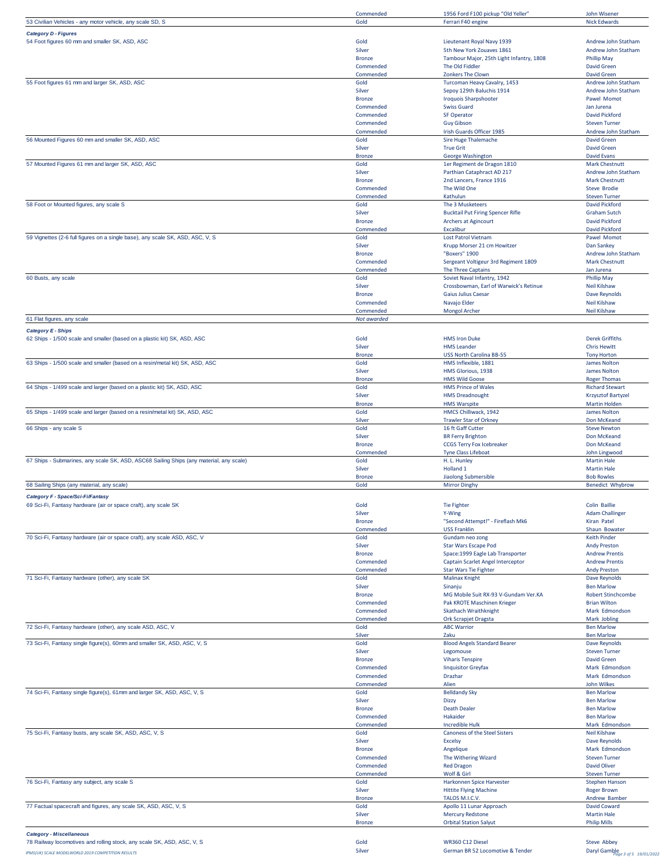|                                                                                         | Commended                  | 1956 Ford F100 pickup "Old Yeller'                       | John Wisener                              |
|-----------------------------------------------------------------------------------------|----------------------------|----------------------------------------------------------|-------------------------------------------|
| 53 Civilian Vehicles - any motor vehicle, any scale SD, S                               | Gold                       | Ferrari F40 engine                                       | <b>Nick Edwards</b>                       |
| <b>Category D - Figures</b>                                                             |                            |                                                          |                                           |
| 54 Foot figures 60 mm and smaller SK, ASD, ASC                                          | Gold                       | Lieutenant Royal Navy 1939                               | Andrew John Statham                       |
|                                                                                         | Silver                     | 5th New York Zouaves 1861                                | Andrew John Statham                       |
|                                                                                         | <b>Bronze</b>              | Tambour Major, 25th Light Infantry, 1808                 | <b>Phillip May</b>                        |
|                                                                                         | Commended                  | The Old Fiddler                                          | <b>David Green</b>                        |
|                                                                                         | Commended                  | Zonkers The Clown                                        | <b>David Green</b>                        |
| 55 Foot figures 61 mm and larger SK, ASD, ASC                                           | Gold                       | Turcoman Heavy Cavalry, 1453                             | Andrew John Statham                       |
|                                                                                         |                            |                                                          |                                           |
|                                                                                         | Silver                     | Sepoy 129th Baluchis 1914                                | Andrew John Statham                       |
|                                                                                         | <b>Bronze</b>              | <b>Iroquois Sharpshooter</b>                             | Pawel Momot                               |
|                                                                                         | Commended                  | <b>Swiss Guard</b>                                       | Jan Jurena                                |
|                                                                                         | Commended                  | <b>SF Operator</b>                                       | David Pickford                            |
|                                                                                         | Commended                  | <b>Guy Gibson</b>                                        | <b>Steven Turner</b>                      |
|                                                                                         | Commended                  | Irish Guards Officer 1985                                | Andrew John Statham                       |
| 56 Mounted Figures 60 mm and smaller SK, ASD, ASC                                       | Gold                       | Sire Huge Thalemache                                     | David Green                               |
|                                                                                         | Silver                     | <b>True Grit</b>                                         | <b>David Green</b>                        |
|                                                                                         | <b>Bronze</b>              | George Washington                                        | <b>David Evans</b>                        |
| 57 Mounted Figures 61 mm and larger SK, ASD, ASC                                        | Gold                       | 1er Regiment de Dragon 1810                              | <b>Mark Chestnutt</b>                     |
|                                                                                         | Silver                     | Parthian Cataphract AD 217                               | Andrew John Statham                       |
|                                                                                         | <b>Bronze</b>              | 2nd Lancers, France 1916                                 | <b>Mark Chestnutt</b>                     |
|                                                                                         | Commended                  | The Wild One                                             | Steve Brodie                              |
|                                                                                         | Commended                  | Kathulun                                                 | <b>Steven Turner</b>                      |
| 58 Foot or Mounted figures, any scale S                                                 | Gold                       | The 3 Musketeers                                         | David Pickford                            |
|                                                                                         | Silver                     | <b>Bucktail Put Firing Spencer Rifle</b>                 | <b>Graham Sutch</b>                       |
|                                                                                         | <b>Bronze</b>              | Archers at Agincourt                                     | David Pickford                            |
|                                                                                         | Commended                  | Excalibur                                                | David Pickford                            |
| 59 Vignettes (2-6 full figures on a single base), any scale SK, ASD, ASC, V, S          | Gold                       | <b>Lost Patrol Vietnam</b>                               | Pawel Momot                               |
|                                                                                         | Silver                     | Krupp Morser 21 cm Howitzer                              | Dan Sankey                                |
|                                                                                         | <b>Bronze</b>              | "Boxers" 1900                                            | Andrew John Statham                       |
|                                                                                         | Commended                  | Sergeant Voltigeur 3rd Regiment 1809                     | Mark Chestnutt                            |
|                                                                                         | Commended                  | The Three Captains                                       | Jan Jurena                                |
| 60 Busts, any scale                                                                     | Gold                       | Soviet Naval Infantry, 1942                              | <b>Phillip May</b>                        |
|                                                                                         | Silver                     | Crossbowman, Earl of Warwick's Retinue                   | <b>Neil Kilshaw</b>                       |
|                                                                                         | <b>Bronze</b>              | <b>Gaius Julius Caesar</b>                               | Dave Reynolds                             |
|                                                                                         | Commended                  | Navajo Elder                                             | Neil Kilshaw                              |
|                                                                                         | Commended                  | <b>Mongol Archer</b>                                     | Neil Kilshaw                              |
| 61 Flat figures, any scale                                                              | Not awarded                |                                                          |                                           |
|                                                                                         |                            |                                                          |                                           |
| <b>Category E - Ships</b>                                                               |                            |                                                          |                                           |
| 62 Ships - 1/500 scale and smaller (based on a plastic kit) SK, ASD, ASC                | Gold                       | <b>HMS Iron Duke</b>                                     | <b>Derek Griffiths</b>                    |
|                                                                                         | Silver                     | <b>HMS Leander</b>                                       | <b>Chris Hewitt</b>                       |
|                                                                                         | <b>Bronze</b>              | <b>USS North Carolina BB-55</b>                          | <b>Tony Horton</b>                        |
| 63 Ships - 1/500 scale and smaller (based on a resin/metal kit) SK, ASD, ASC            | Gold                       | HMS Inflexible, 1881                                     | James Nolton                              |
|                                                                                         | Silver                     | HMS Glorious, 1938                                       | James Nolton                              |
|                                                                                         | <b>Bronze</b>              | <b>HMS Wild Goose</b>                                    | <b>Roger Thomas</b>                       |
| 64 Ships - 1/499 scale and larger (based on a plastic kit) SK, ASD, ASC                 | Gold                       | <b>HMS Prince of Wales</b>                               | <b>Richard Stewart</b>                    |
|                                                                                         | Silver                     | <b>HMS Dreadnought</b>                                   | <b>Krzysztof Bartyzel</b>                 |
|                                                                                         | <b>Bronze</b>              | <b>HMS Warspite</b>                                      | <b>Martin Holden</b>                      |
| 65 Ships - 1/499 scale and larger (based on a resin/metal kit) SK, ASD, ASC             | Gold                       | HMCS Chilliwack, 1942                                    | James Nolton                              |
|                                                                                         | Silver                     | <b>Trawler Star of Orkney</b>                            | Don McKeand                               |
| 66 Ships - any scale S                                                                  | Gold                       | 16 ft Gaff Cutter                                        | <b>Steve Newton</b>                       |
|                                                                                         | Silver                     | <b>BR Ferry Brighton</b>                                 | Don McKeand                               |
|                                                                                         |                            |                                                          |                                           |
|                                                                                         | <b>Bronze</b>              | <b>CCGS Terry Fox Icebreaker</b>                         | Don McKeand                               |
|                                                                                         | Commended                  | <b>Tyne Class Lifeboat</b>                               | John Lingwood                             |
| 67 Ships - Submarines, any scale SK, ASD, ASC68 Sailing Ships (any material, any scale) | Gold                       | H. L. Hunley                                             | <b>Martin Hale</b>                        |
|                                                                                         | Silver                     | Holland <sub>1</sub>                                     | <b>Martin Hale</b>                        |
|                                                                                         | <b>Bronze</b>              | Jiaolong Submersible                                     | <b>Bob Rowles</b>                         |
| 68 Sailing Ships (any material, any scale)                                              | Gold                       | <b>Mirror Dinghy</b>                                     | <b>Benedict Whybrow</b>                   |
| Category F - Space/Sci-Fi/Fantasy                                                       |                            |                                                          |                                           |
| 69 Sci-Fi, Fantasy hardware (air or space craft), any scale SK                          | Gold                       | Tie Fighter                                              | Colin Baillie                             |
|                                                                                         | Silver                     |                                                          | <b>Adam Challinger</b>                    |
|                                                                                         |                            | Y-Wing<br>"Second Attempt!" - Fireflash Mk6              |                                           |
|                                                                                         | <b>Bronze</b><br>Commended | <b>USS Franklin</b>                                      | Kiran Patel<br>Shaun Bowater              |
|                                                                                         | Gold                       |                                                          | <b>Keith Pinder</b>                       |
| 70 Sci-Fi, Fantasy hardware (air or space craft), any scale ASD, ASC, V                 | Silver                     | Gundam neo zong                                          | <b>Andy Preston</b>                       |
|                                                                                         | <b>Bronze</b>              | Star Wars Escape Pod                                     | <b>Andrew Prentis</b>                     |
|                                                                                         | Commended                  | Space: 1999 Eagle Lab Transporter                        | <b>Andrew Prentis</b>                     |
|                                                                                         |                            | Captain Scarlet Angel Interceptor                        |                                           |
|                                                                                         | Commended<br>Gold          | <b>Star Wars Tie Fighter</b><br><b>Malinax Knight</b>    | <b>Andy Preston</b>                       |
| 71 Sci-Fi, Fantasy hardware (other), any scale SK                                       | Silver                     |                                                          | Dave Reynolds<br><b>Ben Marlow</b>        |
|                                                                                         | <b>Bronze</b>              | Sinanju                                                  | <b>Robert Stinchcombe</b>                 |
|                                                                                         | Commended                  | MG Mobile Suit RX-93 V-Gundam Ver.KA                     | <b>Brian Wilton</b>                       |
|                                                                                         |                            | Pak KROTE Maschinen Krieger                              |                                           |
|                                                                                         | Commended                  | <b>Skathach Wraithknight</b>                             | Mark Edmondson<br>Mark Jobling            |
|                                                                                         | Commended                  | Ork Scrapjet Dragsta                                     |                                           |
| 72 Sci-Fi, Fantasy hardware (other), any scale ASD, ASC, V                              | Gold                       | <b>ABC Warrior</b>                                       | <b>Ben Marlow</b>                         |
|                                                                                         | Silver                     | Zaku                                                     | <b>Ben Marlow</b>                         |
| 73 Sci-Fi, Fantasy single figure(s), 60mm and smaller SK, ASD, ASC, V, S                | Gold                       | <b>Blood Angels Standard Bearer</b>                      | Dave Reynolds                             |
|                                                                                         | Silver                     | Legomouse                                                | <b>Steven Turner</b>                      |
|                                                                                         | <b>Bronze</b>              | <b>Viharis Tenspire</b>                                  | <b>David Green</b>                        |
|                                                                                         | Commended                  | linquisitor Greyfax                                      | Mark Edmondson                            |
|                                                                                         | Commended                  | Drazhar                                                  | Mark Edmondson                            |
|                                                                                         | Commended                  | Alien                                                    | John Wilkes                               |
| 74 Sci-Fi, Fantasy single figure(s), 61mm and larger SK, ASD, ASC, V, S                 | Gold                       | <b>Belldandy Sky</b>                                     | <b>Ben Marlow</b>                         |
|                                                                                         | Silver                     | <b>Dizzy</b>                                             | <b>Ben Marlow</b>                         |
|                                                                                         | <b>Bronze</b>              | <b>Death Dealer</b>                                      | <b>Ben Marlow</b>                         |
|                                                                                         | Commended                  | Hakaider                                                 | <b>Ben Marlow</b>                         |
|                                                                                         | Commended                  | <b>Incredible Hulk</b>                                   | Mark Edmondson                            |
| 75 Sci-Fi, Fantasy busts, any scale SK, ASD, ASC, V, S                                  | Gold                       | Canoness of the Steel Sisters                            | <b>Neil Kilshaw</b>                       |
|                                                                                         | Silver                     | <b>Excelsy</b>                                           | Dave Reynolds                             |
|                                                                                         | <b>Bronze</b>              | Angelique                                                | Mark Edmondson                            |
|                                                                                         | Commended                  | The Withering Wizard                                     | <b>Steven Turner</b>                      |
|                                                                                         | Commended                  | <b>Red Dragon</b>                                        | <b>David Oliver</b>                       |
|                                                                                         | Commended                  | Wolf & Girl                                              | <b>Steven Turner</b>                      |
| 76 Sci-Fi, Fantasy any subject, any scale S                                             | Gold                       | Harkonnen Spice Harvester                                | <b>Stephen Hanson</b>                     |
|                                                                                         | Silver                     | <b>Hittite Flying Machine</b>                            | <b>Roger Brown</b>                        |
|                                                                                         | <b>Bronze</b>              | TALOS M.I.C.V.                                           | Andrew Bamber                             |
| 77 Factual spacecraft and figures, any scale SK, ASD, ASC, V, S                         | Gold                       | Apollo 11 Lunar Approach                                 | David Coward                              |
|                                                                                         | Silver<br><b>Bronze</b>    | <b>Mercury Redstone</b><br><b>Orbital Station Salyut</b> | <b>Martin Hale</b><br><b>Philip Mills</b> |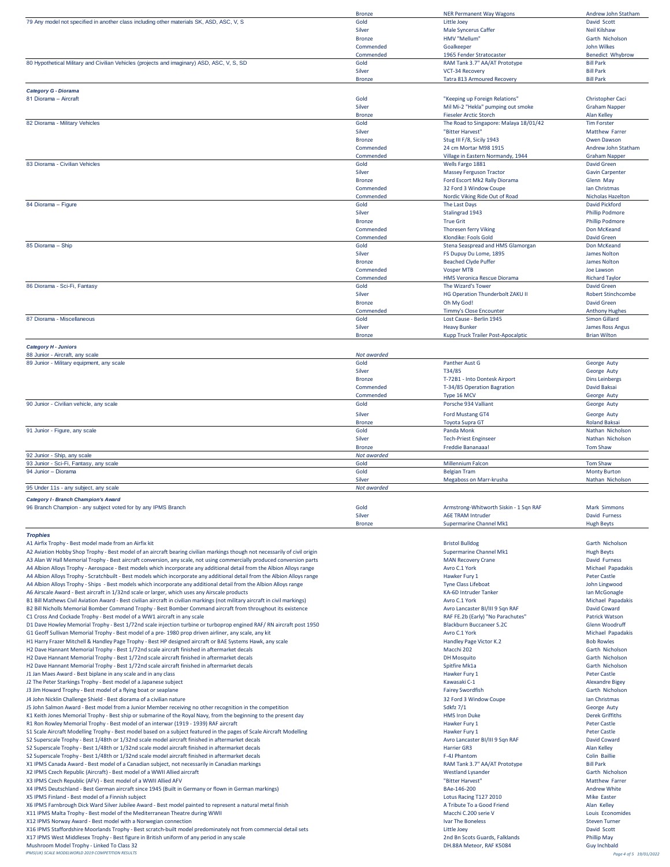|                                                                                                                                                                                                                                                 | <b>Bronze</b>           | <b>NER Permanent Way Wagons</b>                           | Andrew John Statham                      |
|-------------------------------------------------------------------------------------------------------------------------------------------------------------------------------------------------------------------------------------------------|-------------------------|-----------------------------------------------------------|------------------------------------------|
| 79 Any model not specified in another class including other materials SK, ASD, ASC, V, S                                                                                                                                                        | Gold                    | Little Joey                                               | David Scott                              |
|                                                                                                                                                                                                                                                 | Silver                  | Male Syncerus Caffer                                      | <b>Neil Kilshaw</b>                      |
|                                                                                                                                                                                                                                                 | <b>Bronze</b>           | HMV "Mellum"                                              | Garth Nicholson                          |
|                                                                                                                                                                                                                                                 | Commended               | Goalkeeper                                                | John Wilkes                              |
|                                                                                                                                                                                                                                                 | Commended               | 1965 Fender Stratocaster                                  | <b>Benedict Whybrow</b>                  |
| 80 Hypothetical Military and Civilian Vehicles (projects and imaginary) ASD, ASC, V, S, SD                                                                                                                                                      | Gold                    | RAM Tank 3.7" AA/AT Prototype                             | <b>Bill Park</b>                         |
|                                                                                                                                                                                                                                                 | Silver                  | VCT-34 Recovery                                           | <b>Bill Park</b>                         |
|                                                                                                                                                                                                                                                 | <b>Bronze</b>           | Tatra 813 Armoured Recovery                               | <b>Bill Park</b>                         |
| Category G - Diorama                                                                                                                                                                                                                            |                         |                                                           |                                          |
| 81 Diorama - Aircraft                                                                                                                                                                                                                           | Gold                    | "Keeping up Foreign Relations"                            | Christopher Caci                         |
|                                                                                                                                                                                                                                                 | Silver                  | Mil Mi-2 "Hekla" pumping out smoke                        | <b>Graham Napper</b>                     |
|                                                                                                                                                                                                                                                 | <b>Bronze</b>           | <b>Fieseler Arctic Storch</b>                             | <b>Alan Kelley</b>                       |
| 82 Diorama - Military Vehicles                                                                                                                                                                                                                  | Gold                    | The Road to Singapore: Malaya 18/01/42                    | <b>Tim Forster</b>                       |
|                                                                                                                                                                                                                                                 | Silver                  | "Bitter Harvest"                                          | Matthew Farrer                           |
|                                                                                                                                                                                                                                                 | <b>Bronze</b>           | Stug III F/8, Sicily 1943                                 | Owen Dawson                              |
|                                                                                                                                                                                                                                                 | Commended               | 24 cm Mortar M98 1915                                     | Andrew John Statham                      |
| 83 Diorama - Civilian Vehicles                                                                                                                                                                                                                  | Commended<br>Gold       | Village in Eastern Normandy, 1944                         | <b>Graham Napper</b>                     |
|                                                                                                                                                                                                                                                 | Silver                  | Wells Fargo 1881<br><b>Massey Ferguson Tractor</b>        | David Green<br><b>Gavin Carpenter</b>    |
|                                                                                                                                                                                                                                                 | <b>Bronze</b>           | Ford Escort Mk2 Rally Diorama                             | Glenn May                                |
|                                                                                                                                                                                                                                                 | Commended               | 32 Ford 3 Window Coupe                                    | Ian Christmas                            |
|                                                                                                                                                                                                                                                 | Commended               | Nordic Viking Ride Out of Road                            | Nicholas Hazelton                        |
| 84 Diorama - Figure                                                                                                                                                                                                                             | Gold                    | The Last Days                                             | David Pickford                           |
|                                                                                                                                                                                                                                                 | Silver                  | Stalingrad 1943                                           | <b>Phillip Podmore</b>                   |
|                                                                                                                                                                                                                                                 | <b>Bronze</b>           | <b>True Grit</b>                                          | <b>Phillip Podmore</b>                   |
|                                                                                                                                                                                                                                                 | Commended               | <b>Thoresen ferry Viking</b>                              | Don McKeand                              |
|                                                                                                                                                                                                                                                 | Commended               | Klondike: Fools Gold                                      | <b>David Green</b>                       |
| 85 Diorama - Ship                                                                                                                                                                                                                               | Gold                    | Stena Seaspread and HMS Glamorgan                         | Don McKeand                              |
|                                                                                                                                                                                                                                                 | Silver                  | FS Dupuy Du Lome, 1895                                    | James Nolton                             |
|                                                                                                                                                                                                                                                 | <b>Bronze</b>           | <b>Beached Clyde Puffer</b>                               | James Nolton                             |
|                                                                                                                                                                                                                                                 | Commended               | <b>Vosper MTB</b>                                         | Joe Lawson                               |
|                                                                                                                                                                                                                                                 | Commended               | HMS Veronica Rescue Diorama                               | <b>Richard Taylor</b>                    |
| 86 Diorama - Sci-Fi, Fantasy                                                                                                                                                                                                                    | Gold                    | The Wizard's Tower                                        | <b>David Green</b>                       |
|                                                                                                                                                                                                                                                 | Silver                  | HG Operation Thunderbolt ZAKU II                          | <b>Robert Stinchcombe</b>                |
|                                                                                                                                                                                                                                                 | <b>Bronze</b>           | Oh My God!                                                | <b>David Green</b>                       |
|                                                                                                                                                                                                                                                 | Commended               | Timmy's Close Encounter                                   | <b>Anthony Hughes</b>                    |
| 87 Diorama - Miscellaneous                                                                                                                                                                                                                      | Gold                    | Lost Cause - Berlin 1945                                  | Simon Gillard                            |
|                                                                                                                                                                                                                                                 | Silver                  | <b>Heavy Bunker</b><br>Kupp Truck Trailer Post-Apocalptic | James Ross Angus<br><b>Brian Wilton</b>  |
|                                                                                                                                                                                                                                                 | <b>Bronze</b>           |                                                           |                                          |
| <b>Category H - Juniors</b>                                                                                                                                                                                                                     |                         |                                                           |                                          |
| 88 Junior - Aircraft, any scale                                                                                                                                                                                                                 | Not awarded             |                                                           |                                          |
| 89 Junior - Military equipment, any scale                                                                                                                                                                                                       | Gold                    | Panther Aust G                                            | George Auty                              |
|                                                                                                                                                                                                                                                 | Silver                  | T34/85                                                    | George Auty                              |
|                                                                                                                                                                                                                                                 | <b>Bronze</b>           | T-72B1 - Into Dontesk Airport                             | <b>Dins Leinbergs</b>                    |
|                                                                                                                                                                                                                                                 | Commended               | T-34/85 Operation Bagration                               | David Baksai                             |
| 90 Junior - Civilian vehicle, any scale                                                                                                                                                                                                         | Commended<br>Gold       | Type 16 MCV<br>Porsche 934 Valliant                       | George Auty<br>George Auty               |
|                                                                                                                                                                                                                                                 |                         |                                                           |                                          |
|                                                                                                                                                                                                                                                 | Silver                  | Ford Mustang GT4                                          | George Auty                              |
|                                                                                                                                                                                                                                                 | <b>Bronze</b>           | <b>Toyota Supra GT</b>                                    | <b>Roland Baksai</b>                     |
| 91 Junior - Figure, any scale                                                                                                                                                                                                                   | Gold                    | Panda Monk                                                | Nathan Nicholson                         |
|                                                                                                                                                                                                                                                 | Silver<br><b>Bronze</b> | <b>Tech-Priest Enginseer</b><br>Freddie Bananaaa!         | Nathan Nicholson<br><b>Tom Shaw</b>      |
| 92 Junior - Ship, any scale                                                                                                                                                                                                                     | Not awarded             |                                                           |                                          |
| 93 Junior - Sci-Fi, Fantasy, any scale                                                                                                                                                                                                          | Gold                    | Millennium Falcon                                         | <b>Tom Shaw</b>                          |
| 94 Junior - Diorama                                                                                                                                                                                                                             | Gold                    | <b>Belgian Tram</b>                                       | <b>Monty Burton</b>                      |
|                                                                                                                                                                                                                                                 | Silver                  | Megaboss on Marr-krusha                                   | Nathan Nicholson                         |
| 95 Under 11s - any subject, any scale                                                                                                                                                                                                           | Not awarded             |                                                           |                                          |
|                                                                                                                                                                                                                                                 |                         |                                                           |                                          |
| <b>Category I - Branch Champion's Award</b><br>96 Branch Champion - any subject voted for by any IPMS Branch                                                                                                                                    | Gold                    | Armstrong-Whitworth Siskin - 1 Sqn RAF                    | <b>Mark Simmons</b>                      |
|                                                                                                                                                                                                                                                 | Silver                  | <b>A6E TRAM Intruder</b>                                  | David Furness                            |
|                                                                                                                                                                                                                                                 | <b>Bronze</b>           | <b>Supermarine Channel Mk1</b>                            | <b>Hugh Beyts</b>                        |
|                                                                                                                                                                                                                                                 |                         |                                                           |                                          |
| <b>Trophies</b>                                                                                                                                                                                                                                 |                         |                                                           |                                          |
| A1 Airfix Trophy - Best model made from an Airfix kit                                                                                                                                                                                           |                         | <b>Bristol Bulldog</b>                                    | Garth Nicholson                          |
| A2 Aviation Hobby Shop Trophy - Best model of an aircraft bearing civilian markings though not necessarily of civil origin                                                                                                                      |                         | Supermarine Channel Mk1                                   | <b>Hugh Beyts</b>                        |
| A3 Alan W Hall Memorial Trophy - Best aircraft conversion, any scale, not using commercially produced conversion parts                                                                                                                          |                         | <b>MAN Recovery Crane</b>                                 | David Furness                            |
| A4 Albion Alloys Trophy - Aerospace - Best models which incorporate any additional detail from the Albion Alloys range                                                                                                                          |                         | Avro C.1 York                                             | Michael Papadakis<br><b>Peter Castle</b> |
| A4 Albion Alloys Trophy - Scratchbuilt - Best models which incorporate any additional detail from the Albion Alloys range<br>A4 Albion Alloys Trophy - Ships - Best models which incorporate any additional detail from the Albion Alloys range |                         | Hawker Fury 1<br><b>Tyne Class Lifeboat</b>               | John Lingwood                            |
| A6 Airscale Award - Best aircraft in 1/32nd scale or larger, which uses any Airscale products                                                                                                                                                   |                         | KA-6D Intruder Tanker                                     | Ian McGonagle                            |
| B1 Bill Mathews Civil Aviation Award - Best civilian aircraft in civilian markings (not military aircraft in civil markings)                                                                                                                    |                         | Avro C.1 York                                             | Michael Papadakis                        |
|                                                                                                                                                                                                                                                 |                         |                                                           |                                          |

B2 Bill Nicholls Memorial Bomber Command Trophy - Best Bomber Command aircraft from throughout its existence Avro Lancaster BI/III 9 Sqn RAF David Coward

C1 Cross And Cockade Trophy - Best model of a WW1 aircraft in any scale external or scale and cockade Trophy - Best model of a WY1 aircraft in any scale extendion to the boot of RAF FE.2b (Early) "No Parachutes" Patrick Wa D1 Dave Howley Memorial Trophy - Best 1/72nd scale injection turbine or turboprop engined RAF/ RN aircraft post 1950<br>
G1 Geoff Sullivan Memorial Trophy - Best model of a pre- 1980 prop driven airliner, any scale, any kit<br>

G1 Geoff Sullivan Memorial Trophy - Best model of a pre- 1980 prop driven airliner, any scale, any kit Avro Campadakism of the state of the Michael Papadakism of Avro C.1 York Michael Papadakism of Michael Papadakism of Mi

Mandright Handley Page Trophy - Best HP designed aircraft or BAE Systems Hawk, any scale Handley Page Victor K.2 Handley Page Victor K.2 Bob Rowles Bob Rowles Carth Nicholson<br>H2 Dave Hannant Memorial Trophy - Best 1/72nd s H2 Dave Hannant Memorial Trophy - Best 1/72nd scale aircraft finished in aftermarket decals Macchi 202 Garth 202<br>H2 Dave Hannant Memorial Trophy - Best 1/72nd scale aircraft finished in aftermarket decals

H2 Dave Hannant Memorial Trophy - Best 1/72nd scale aircraft finished in aftermarket decals and the scale and the scale of the scale of the scale of the scale of the scale of the scale of the scale of the Spatia Carth Nich

Mannant Memorial Trophy - Best 1/72nd scale aircraft finished in aftermarket decals and the spitfire of the spitfire Mk1a Spitfire Mk1a Garth Nicholson Carth Nicholson Carth Nicholson Spitfire Mk1a Garth Nicholson Carth Ni

J1 Jan Maes Award - Best biplane in any scale and in any class<br>J2 The Peter Starkings Trophy - Best model of a Japanese subject the starting of the starting of the May and the Starting of the May and the Startings Hawker F

J2 The Peter Starkings Trophy - Best model of a Japanese subject and the starting of the Starkings Trophy - Best model of a Japanese subject Campus Care and the Starking of the Starkings of the Starkings of the Starkings o J3 Jim Howard Trophy - Best model of a flying boat or seaplane

J4 John Nicklin Challenge Shield - Best diorama of a civilian nature 32 Ford 3 Window Coupe Ian Christmas J5 John Salmon Award - Best model from a Junior Member receiving no other recognition in the competition Sdkfz 7/1 George Auty

K1 Keith Jones Memorial Trophy - Best ship or submarine of the Royal Navy, from the beginning to the present day MS Iron Duke HMS Iron Duke Derek Griffiths

R1 Ron Rowley Memorial Trophy - Best model of an interwar (1919 - 1939) RAF aircraft<br>St Scale Aircraft Modelling Trophy - Best model based on a subject featured in the pages of Scale Aircraft Modelling<br>St Scale Aircraft Mo

S1 Scale Aircraft Modelling Trophy - Best model based on a subject featured in the pages of Scale Aircraft Modelling<br>S2 Superscale Trophy - Best 1/48th or 1/32nd scale model aircraft finished in aftermarket decals and the

S2 Superscale Trophy - Best 1/48th or 1/32nd scale model aircraft finished in aftermarket decals **Avro Lancaster BI/III 9 Sqn RAF David Coward Coward Coward Coward Coward Coward Coward Coward Coward Coward Alan Kelley<br>Avro** 

S2 Superscale Trophy - Best 1/48th or 1/32nd scale model aircraft finished in aftermarket decals and the state of the state of the state of the state of the state of the state of the state of the state of the state of the

S2 Superscale Trophy - Best 1/48th or 1/32nd scale model aircraft finished in aftermarket decals F-4J Phantom Colin Baillies Colin Baillies F-4J Phantom Colin Baillies Colin Baillies Colin Baillies Colin Baillies Colin Bai X1 IPMS Canada Award - Best model of a Canadian subject, not necessarily in Canadian markings RAM Tank 3.7 am Bill Park RAM Tank 3.7" AA/AT Prototype Bill Park Bill Park Bill Park Bill Park 3.7" AA/AT Prototype Bill Park B

X2 IPMS Czech Republic (Aircraft) - Best model of a WWII Allied aircraft when westland Lysander Mestland Lysander Garth Nicholson Garth Nicholson (Garth Nicholson Carth Nicholson Carth Nicholson Carth Nicholson (Garth Nich

X3 IPMS Czech Republic (AFV) - Best model of a WWII Allied AFV Farrer AFV Of AFV ATC HARVEST MATTHEW FARRER MA<br>X4 IPMS Deutschland - Best German aircraft since 1945 (Built in Germany or flown in German markings) Matthew T

X4 IPMS Deutschland - Best German aircraft since 1945 (Built in Germany or flown in German markings) BAe-146-200 BAe-146-200 Andrew White Easter Channel Company or flown in German markings) and the state of the state of th X5 IPMS Finland - Best model of a Finnish subject

X6 IPMS Farnbrough Dick Ward Silver Jubilee Award - Best model painted to represent a natural metal finish and the state of the March America Capacity Could Friend Alan Kelley<br>A Tribute Tribute Tribute Tribute The Mediterr

X11 IPMS Malta Trophy - Best model of the Mediterranean Theatre during WWII Macchi C.200 serie V Louis Economi<br>X12 IPMS Morway Award - Best model with a Norwegian connection<br>X12 IPMS Norway Award - Best model with a Norweg

X12 IPMS Norway Award - Best model with a Norwegian connection<br>X16 IPMS Staffordshire Moorlands Trophy - Best scratch-built model predominately not from commercial detail sets Steven Turner and State Steven Turner and Stev

X16 IPMS Staffordshire Moorlands Trophy - Best scratch-built model predominately not from commercial detail sets and the state of the state of the state of the state of the David Scott David Scott David Scott David Scott D X17 IPMS West Middlesex Trophy - Best figure in British uniform of any period in any scale

Mushroom Model Trophy - Linked To Class 32 Guy Inchbald<br>
IPMS/UKI SCALE MODELWORLD 2019 COMPETITION RESULTS And The Company of Company of Company of Company of Company<br>
A DH.88A Meteor, RAF K5084 Gone *IPMS(UK) SCALE MODELWORLD 2019 COMPETITION RESULTS Page 4 of 5 19/01/2022*